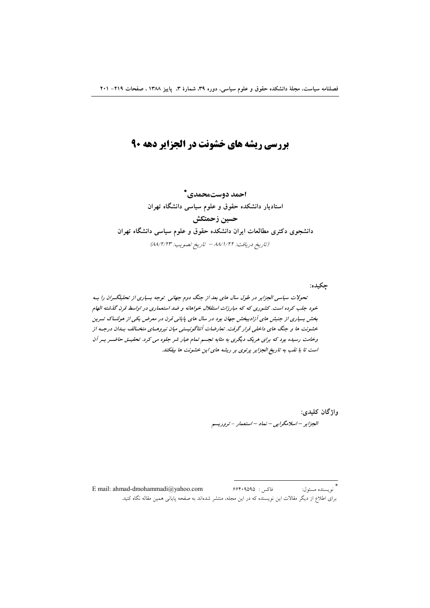# **بررسی ریشه های خشونت در الجزایر دهه ۹۰**

احمد دوستمحمدي\* استادیار دانشکده حقوق و علوم سیاسی دانشگاه تهران حسين زحمتكش دانشجوی دکتری مطالعات ایران دانشکده حقوق و علوم سیاسی دانشگاه تهران (تاريخ دريافت: ٨٨/١/٢٢ - تاريخ تصويب: ٨٨/٢/٢٣)

حكىدە: تحولات سیاسی الجزایر در طول سال های بعد از جنگ دوم جهانی توجه بسیاری از تحلیلگران را به خود جلب کرده است. کشوری که که مبارزات استقلال خواهانه و ضد استعماری در اواسط قرن گذشته الهام بخش بسیاری از جنبش های آزادیبخش جهان بود در سال های پایانی قرن در معرض یکی از هولنساک تسرین خشونت ها و جنگ های داخلی قرار گرفت. تعارضات آنتاگونیستی میان نیروهای متخـالف بـدان درجـه از وخامت رسیده بود که برای هریک دیگری به مثابه تجسم تمام عیار شر جلوه می کرد. تحقیــق حاضــر بــر آن است تا با نقب به تاریخ الجزایر پرتوی بر ریشه های این خشونت ها بیفکند.

> واژگان کليدي: الجزایر – اسلامگرایی – نماد – استعمار - تروریسم

\*<br>نويسنده مسئول: E mail: ahmad-dmohammadi@vahoo.com فاكس: ۶۶۴۰۹۵۹۵ .<br>برای اطلاع از دیگر مقالات این نویسنده که در این مجله، منتشر شدهاند به صفحه پایانی همین مقاله نگاه کنید.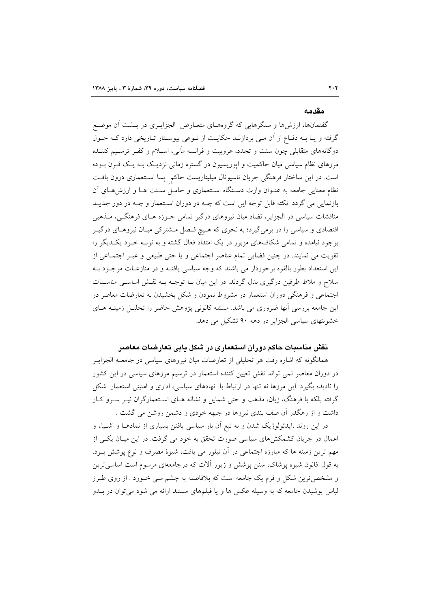#### مقدمه

گفتمانها، ارزشها و سنگرهایی که گروههـای متعـارض الجزایــری در پــشت آن موضـع گرفته و یـا بـه دفـاع از آن مـی پردازنـد حکایـت از نـوعی پیوسـتار تـاریخی دارد کـه حـول دوگانههای متقابلی چون سنت و تجدد، عروبیت و فرانسه مآبی، اسـلام و کفـر ترسـیم کننـده مرزهای نظام سیاسی میان حاکمیت و اپوزیسیون در گستره زمانی نزدیـک بـه یـک قــرن بــوده است. در این ساختار فرهنگی جریان ناسیونال میلیتاریست حاکم پسا استعماری درون بافت نظام معنایی جامعه به عنـوان وارث دسـتگاه اسـتعماری و حامـل سـنت هـا و ارزش هـای آن بازنمایی می گردد. نکته قابل توجه این است که چــه در دوران اسـتعمار و چــه در دور جدیــد مناقشات سیاسی در الجزایر، تضاد میان نیروهای درگیر تمامی حـوزه هـای فرهنگـی، مـذهبی اقتصادی و سیاسی را در برمی گیرد؛ به نحوی که هـیچ فـصل مـشترکی میـان نیروهـای درگیـر بوجود نیامده و تمامی شکافهای مزبور در یک امتداد فعال گشته و به نوبـه خـود یکــدیگر را تقویت می نمایند. در چنین فضایی تمام عناصر اجتماعی و یا حتی طبیعی و غیـر اجتمـاعی از این استعداد بطور بالقوه برخوردار می باشند که وجه سیاسی یافتـه و در منازعـات موجـود بـه سلاح و ملاط طرفین درگیری بدل گردند. در این میان بـا توجـه بـه نقـش اساسـی مناسـبات اجتماعی و فرهنگی دوران استعمار در مشروط نمودن و شکل بخشیدن به تعارضات معاصر در این جامعه بررسی آنها ضروری می باشد. مسئله کانونی پژوهش حاضر را تحلیـل زمینــه هــای خشونتهای سیاسی الجزایر در دهه ۹۰ تشکیل می دهد.

## نقش مناسبات حاکم دوران استعماری در شکل یابی تعارضات معاصر

همانگونه که اشاره رفت هر تحلیلی از تعارضات میان نیروهای سیاسی در جامعــه الجزایــر در دوران معاصر نمی تواند نقش تعیین کننده استعمار در ترسیم مرزهای سیاسی در این کشور را نادیده بگیرد. این مرزها نه تنها در ارتباط با نهادهای سیاسی، اداری و امنیتی استعمار شکل گرفته بلکه با فرهنگ، زبان، مذهب و حتی شمایل و نشانه هــای اســتعمارگران نیــز ســرو کــار داشت و از رهگذر آن صف بندی نیروها در جبهه خودی و دشمن روشن می گشت .

در این روند ،ایدئولوژیک شدن و به تبع آن بار سیاسی یافتن بسیاری از نمادهـا و اشـیاء و اعمال در جریان کشمکش های سیاسی صورت تحقق به خود می گرفت. در این میـان یکـی از مهم ترین زمینه ها که مبارزه اجتماعی در آن تبلور می یافت، شیوهٔ مصرف و نوع پوشش بـود. به قول فانون شیوه یوشاک، سنن یوشش و زیور اَلات که درجامعهای مرسوم است اساسی ترین و مشخص ترین شکل و فرم یک جامعه است که بلافاصله به چشم مـی خــورد . از روی طــرز لباس پوشیدن جامعه که به وسیله عکس ها و یا فیلمهای مستند ارائه می شود می توان در بـدو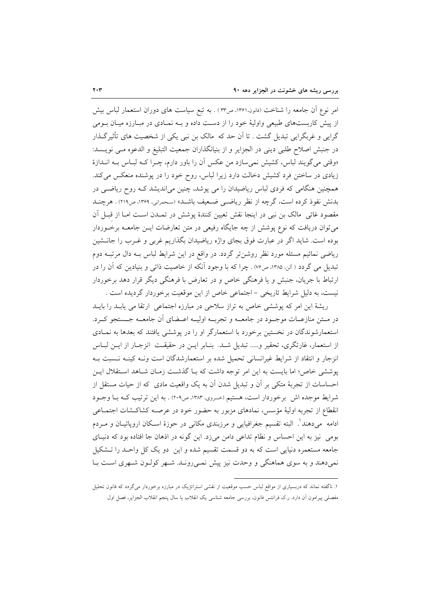امر نوع آن جامعه را شناخت (فانون،۱۳۶۱، ص۳۳) . به تبع سیاست های دوران استعمار لباس بیش از پیش کاربستهای طبیعی واولیهٔ خود را از دست داده و بـه نمـادی در مبـارزه میـان بـومی گرایی و غربگرایی تبدیل گشت . تا آن حد که ً مالک بن نبی یکی از شخصیت های تأثیرگـذار در جنبش اصلاح طلبی دینی در الجزایر و از بنیانگذاران جمعیت التبلیغ و الدعوه مـی نویـسد: «وقتی می گویند لباس، کشیش نمی سازد من عکس آن را باور دارم، چـرا کـه لبـاس بـه انـدازهٔ زیادی در ساختن فرد کشیش دخالت دارد زیرا لباس، روح خود را در پوشنده منعکس میکند. همچنین هنگامی که فردی لباس ریاضیدان را می پوشد، چنین میاندیشد کـه روح ریاضـی در بدنش نفوذ کرده است، گرچه از نظر ریاضی ضعیف باشد» (سحمرانی، ۱۳۶۹، ص۲۱۹) . هرچنــد مقصود غائی مالک بن نبی در اینجا نقش تعیین کنندهٔ پوشش در تمـدن اسـت امـا از قبـل آن می توان دریافت که نوع پوشش از چه جایگاه رفیعی در متن تعارضات ایــن جامعــه برخــوردار بوده است. شاید اگر در عبارت فوق بجای واژه ریاضیدان بگذاریم غربی و غـرب را جانــشین ریاضی نمائیم مسئله مورد نظر روشن تر گردد. در واقع در این شرایط لباس بـه دال مرتبــه دوم تبدیل می گردد ( آلن، ۱۳۸۵، ص۷۶). چرا که با وجود آنکه از خاصیت ذاتی و بنیادین که آن را در ارتباط با جریان، جنبش و یا فرهنگی خاص و در تعارض با فرهنگی دیگر قرار دهد برخوردار نيست، به دليل شرايط تاريخي – اجتماعي خاص از اين موقعيت برخوردار گرديده است .

ریشهٔ این امر که پوششی خاص به تراز سلاحی در مبارزه اجتماعی ارتقا می پابـد را بایـد در مــتن منازعــات موجــود در جامعـــه و تجربـــه اوليـــه اعــضاي آن جامعـــه جـــستجو كــرد. استعمارشوندگان در نخستین برخورد با استعمارگر او را در پوششی یافتند که بعدها به نمـادی از استعمار، غارتگری، تحقیر و..... تبدیل شـد. بنـابر ایــن در حقیقـت انزجـار از ایــن لبـاس انزجار و انتقاد از شرایط غیرانسانی تحمیل شده بر استعمارشدگان است ونـه کینـه نـسبت بـه پوششی خاص؛ اما بایست به این امر توجه داشت که بـا گذشـت زمـان شـاهد اسـتقلال ایـن احساسات از تجربهٔ متکی بر آن و تبدیل شدن آن به یک واقعیت مادی که از حیات مستقل از شرایط موجده اش برخوردار است، هستیم (حسروی ۱۳۸۳، ص۲۰۹) . به این ترتیب کـه بـا وجـود انقطاع از تجربه اولیهٔ مؤسس، نمادهای مزبور به حضور خود در عرصـه کشاکـشات اجتمـاعی ادامه ً مي دهند'. البته تقسيم جغرافيايي و مرزبندي مكاني در حوزهٔ اســكان اروپائيــان و مــردم بومی نیز به این احساس و نظام تداعی دامن میزد. این گونه در اذهان جا افتاده بود که دنیای جامعه مستعمره دنیایی است که به دو قسمت تقسیم شده و این ًدو یک کل واحـد را تــشکیل نمی دهند و به سوی هماهنگی و وحدت نیز پیش نمـی رونـد. شـهر کولـون شـهری اسـت بـا

۱. ناگفته نماند که دربسیاری از مواقع لباس حسب موقعیت از نقشی استراتژیک در مبارزه برخوردار میگردد که فانون تحلیل مفصلی پیرامون اّن دارد. ر.ک فرانتس فانون، بررسی جامعه شناسی یک انقلاب یا سال پنجم انقلاب الجزایر، فصل اول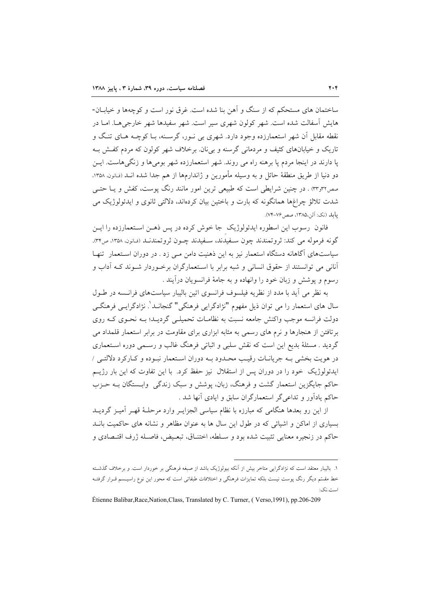ساختمان های مستحکم که از سنگ و آهن بنا شده است. غرق نور است و کوچهها و خیابــان-هایش آسفالت شده است. شهر کولون شهری سیر است. شهر سفیدها شهر خارجی هـا. امـا در نقطه مقابل آن شهر استعمارزده وجود دارد. شهری بی نـور، گرسـنه، بـا کوچــه هـای تنـگ و تاریک و خیابانهای کثیف و مردمانی گرسنه و بی نان. برخلاف شهر کولون که مردم کفـش بـه یا دارند در اینجا مردم یا برهنه راه می روند. شهر استعمارزده شهر بومیها و زنگیهاست. ایــن دو دنيا از طريق منطقهٔ حائل و به وسيله مأمورين و ژاندارمها از هم جدا شده انــد (فـانون. ۱۳۵۸. صص٣٣و٣٣) . در چنین شرایطی است که طبیعی ترین امور مانند رنگ پوست، کفش و یـا حتـی شدت تلالؤ چراغها همانگونه که بارت و باختین بیان کردهاند، دلالتی ثانوی و ایدئولوژیک می بابلد (نک: آلن،١٣٨٥، صص ٧٤-٧۴).

فانون رسوب این اسطوره ایدئولوژیک جا خوش کرده در پس ذهـن اسـتعمارزده را ایــن گونه فرموله مي كند: ثروتمندند چون سـفيدند، سـفيدند چـون ثروتمندنـد (فـانون، ١٣٥٨، ص٣۴). سیاستهای آگاهانه دستگاه استعمار نیز به این ذهنیت دامن مـی زد . در دوران اسـتعمار تنهـا آنانی می توانستند از حقوق انسانی و شبه برابر با استعمارگران برخوردار شورند کـه آداب و رسوم و پوشش و زبان خود را وانهاده و به جامهٔ فرانسویان درآیند .

به نظر می آید با مدد از نظریه فیلسوف فرانسوی اتین بالیبار سیاستهای فرانسه در طـول سال های استعمار را می توان ذیل مفهوم "نژادگرایی فرهنگی" گنجانــد'. نژادگرایــی فرهنگــی دولت فرانسه موجب واکنش جامعه نسبت به نظامـات تحمیلـی گردیـد؛ بـه نحـوی کـه روی برتافتن از هنجارها و نرم های رسمی به مثابه ابزاری برای مقاومت در برابر استعمار قلمداد می گردید . مسئلهٔ بدیع این است که نقش سلبی و اثباتی فرهنگ غالب و رسـمی دوره اســتعماری در هويت بخشي بـه جريانــات رقيــب محــدود بــه دوران اســتعمار نبــوده و كــاركرد دلالتــي / ایدئولوژیک خود را در دوران پس از استقلال نیز حفظ کرد. با این تفاوت که این بار رژیـم حاکم جایگزین استعمار گشت و فرهنگ، زبان، پوشش و سبک زندگی ِ وابــستگان بــه حـزب حاکم یادآور و تداعی گر استعمارگران سابق و ایادی آنها شد .

از این رو بعدها هنگامی که مبارزه با نظام سیاسی الجزایـر وارد مرحلـهٔ قهـر آمیـز گردیـد بسیاری از اماکن و اشیائی که در طول این سال ها به عنوان مظاهر و نشانه های حاکمیت بانــد حاكم در زنجيره معنايي تثبيت شده بود و سـلطه، اختنـاق، تبعـيض، فاصـله ژرف اقتـصادي و

۱. بالیبار معتقد است که نژادگرایی متاخر بیش از آنکه بیولوژیک باشد از صبغه فرهنگی بر خوردار است. و برخلاف گذشـته خط مقسّم دیگر رنگ پوست نیست بلکه تمایزات فرهنگی و اختلافات طبقاتی است که محور این نوع راسیــسم قــرار گرفتــه است.نک:

Étienne Balibar, Race, Nation, Class, Translated by C. Turner, (Verso, 1991), pp.206-209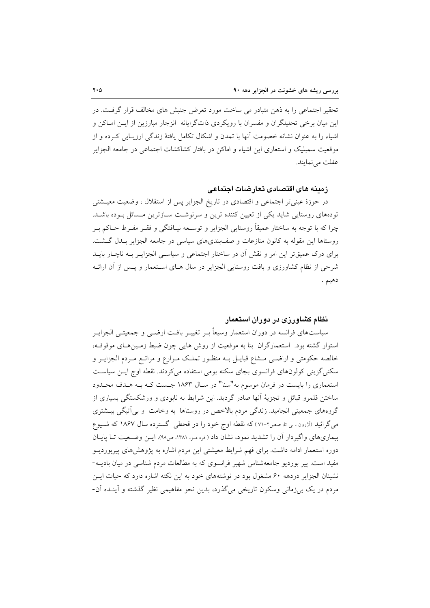تحقیر اجتماعی را به ذهن متبادر می ساخت مورد تعرض جنبش های مخالف قرار گرفت. در این میان برخی تحلیلگران و مفسران با رویکردی ذاتگرایانه انزجار مبارزین از ایــن امــاکن و اشباء را به عنوان نشانه خصومت آنها با تمدن و اشکال تکامل یافتهٔ زندگی ارزیـابی کــرده و از موقعیت سمبلیک و استعاری این اشباء و اماکن در بافتار کشاکشات اجتماعی در جامعه الجزایر غفلت مي نمايند.

## زمينه هاي اقتصادي تعارضات اجتماعي

در حوزهٔ عینی تر اجتماعی و اقتصادی در تاریخ الجزایر پس از استقلال ، وضعیت معیـشتی تودههای روستایی شاید یکی از تعیین کننده ترین و سرنوشت سازترین مسائل بوده باشد. چرا که با توجه به ساختار عمیقاً روستایی الجزایر و توسـعه نیـافتگی و فقـر مفـرط حـاکم بـر روستاها این مقوله به کانون منازعات و صف بندیهای سیاسی در جامعه الجزایر بـدل گـشت. برای درک عمیقتر این امر و نقش آن در ساختار اجتماعی و سیاسـی الجزایـر بــه ناچـار بایــد شرحی از نظام کشاورزی و بافت روستایی الجزایر در سال هـای اسـتعمار و پـس از آن ارائـه دهيم .

## نظام کشاورزی در دوران استعمار

سیاستهای فرانسه در دوران استعمار وسیعاً بـر تغییـر بافـت ارضـی و جمعیتـی الجزایـر استوار گشته بود. استعمارگران بنا به موقعیت از روش هایی چون ضبط زمـینهـای موقوفـه، خالصه حکومتی و اراضـی مــشاع قبایــل بــه منظــور تملــک مــزارع و مراتــع مــردم الجزایــر و سکنی گزینی کولونهای فرانسوی بجای سکنه بومی استفاده میکردند. نقطه اوج ایـن سیاسـت استعماری را بایست در فرمان موسوم به"سنا" در سـال ۱۸۶۳ جـست کـه بـه هـدف محـدود ساختن قلمرو قبائل و تجزیهٔ آنها صادر گردید. این شرایط به نابودی و ورشکستگی بسیاری از گروههای جمعیتی انجامید. زندگی مردم بالاخص در روستاها به وخامت و بی آتیگی بیــشتری می گرائید (آزرون ، بی تا، صص۲-۷۱ ) که نقطه اوج خود را در قحطی گسترده سال ۱۸۶۷ که شـیوع بیماریهای واگیردار آن را تشدید نمود، نشان داد ( فره مـو، ۱۳۸۱، ص۹۸). ایـن وضـعیت تـا پایـان دوره استعمار ادامه داشت. برای فهم شرایط معیشتی این مردم اشاره به پژوهشهای پیربوردیــو مفید است. پیر بوردیو جامعهشناس شهیر فرانسوی که به مطالعات مردم شناسی در میان بادیــه-نشینان الجزایر دردهه ۶۰ مشغول بود در نوشتههای خود به این نکته اشاره دارد که حیات ایس مردم در یک بی زمانی وسکون تاریخی می گذرد، بدین نحو مفاهیمی نظیر گذشته و آینـده آن-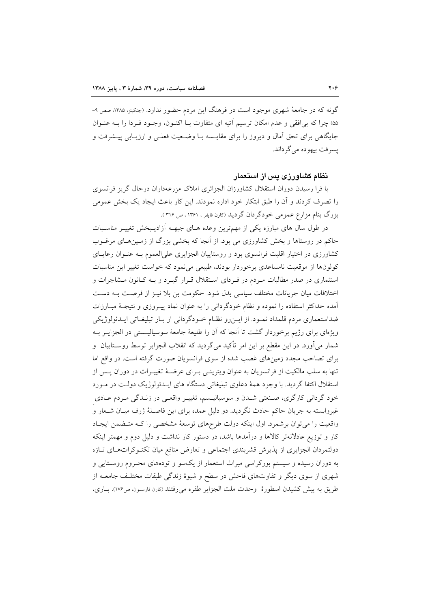گونه که در جامعهٔ شهری موجود است در فرهنگ این مردم حضور ندارد. (جنکینز، ۱۳۸۵، صص ۹-۵۵) چرا که بی افقی و عدم امکان ترسیم آتیه ای متفاوت بــا اکنــون، وجــود فــردا را بــه عنــوان جایگاهی برای تحق آمال و دیروز را برای مقایــــه بــا وضـعیت فعلــی و ارزیــابی پیــشرفت و يسرفت بيھو ده مي گر داند.

#### نظام کشاورزی پس از استعمار

با فرا رسیدن دوران استقلال کشاورزان الجزائری املاک مزرعهداران درحال گریز فرانسوی را تصرف کردند و آن را طبق ابتکار خود اداره نمودند. این کار باعث ایجاد یک بخش عمومی بزرگ بنام مزارع عمومی خودگردان گردید (کارن فایفر ، ۱۳۶۱ ، ص ۳۱۶ .

در طول سال های مبارزه یکی از مهمترین وعده هـای جبهــه آزادیــبخش تغییــر مناســبات حاکم در روستاها و بخش کشاورزی می بود. از آنجا که بخشی بزرگ از زمـینهـای مرغـوب کشاورزی در اختیار اقلیت فرانسوی بود و روستاییان الجزایری علیالعموم بـه عنـوان رعایـای كولونها از موقعيت نامساعدي برخوردار بودند، طبيعي مي نمود كه خواست تغيير اين مناسبات استثماری در صدر مطالبات مـردم در فـردای اسـتقلال قـرار گیـرد و بـه کـانون مـشاجرات و اختلافات میان جریانات مختلف سیاسی بدل شود. حکومت بن بلا نیـز از فرصـت بـه دسـت آمده حداکثر استفاده را نموده و نظام خودگردانی را به عنوان نماد پیـروزی و نتیجـهٔ مبـارزات ضداستعماری مردم قلمداد نمـود. از ایـن٫رو نظـام خـودگردانی از بـار تبلیغـاتی ایـدئولوژیکی ویژهای برای رژیم برخوردار گشت تا آنجا که آن را طلیعهٔ جامعهٔ سوسیالیـستی در الجزایــر بــه شمار میآورد. در این مقطع بر این امر تأکید میگردید که انقلاب الجزایر توسط روسـتاییان و برای تصاحب مجدد زمینهای غصب شده از سوی فرانسویان صورت گرفته است. در واقع اما تنها به سلب مالکیت از فرانسویان به عنوان ویترینسی بـرای عرضـهٔ تغییـرات در دوران پـس از استقلال اکتفا گردید. با وجود همهٔ دعاوی تبلیغاتی دستگاه های ایـدئولوژیک دولـت در مـورد خود گردانی کارگری، صـنعتی شـدن و سوسیالیـسم، تغییـر واقعـی در زنـدگی مـردم عـادی غیروابسته به جریان حاکم حادث نگردید. دو دلیل عمده برای این فاصـلهٔ ژرف میـان شــعار و واقعیت را می توان برشمرد. اول اینکه دولت طرحهای توسعهٔ مشخصی را کـه متـضمن ایجـاد کار و توزیع عادلانهتر کالاها و درآمدها باشد، در دستور کار نداشت و دلیل دوم و مهمتر اینکه دولتمردان الجزایری از پذیرش قشربندی اجتماعی و تعارض منافع میان تکنوکراتهای تبازه به دوران رسیده و سیستم بورکراسی میراث استعمار از یکسو و تودههای محـروم روسـتایی و شهری از سوی دیگر و تفاوتهای فاحش در سطح و شیوهٔ زندگی طبقات مختلـف جامعـه از طريق به پيش كشيدن اسطورهٔ وحدت ملت الجزاير طفره مي رفتند (كارن فارسون، ص١٧۶). بــاري،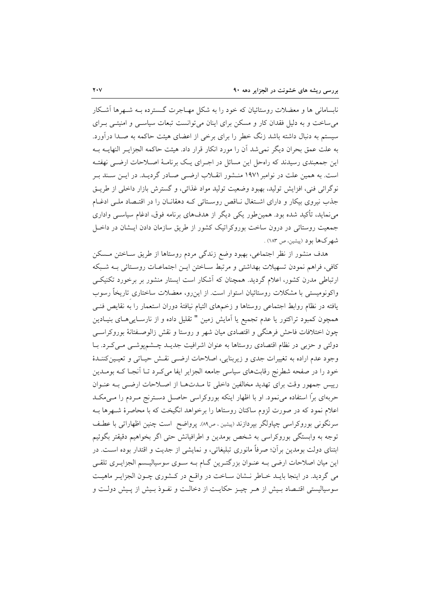نابسامانی ها و معضلات روستائیان که خود را به شکل مهـاجرت گــسترده بــه شــهرها آشــکار می ساخت و به دلیل فقدان کار و مسکن برای اینان می توانست تبعات سیاستی و امنیتبی بـرای سیستم به دنبال داشته باشد زنگ خطر را برای برخی از اعضای هیئت حاکمه به صـدا درآورد. به علت عمق بحران دیگر نمی شد آن را مورد انکار قرار داد. هیئت حاکمه الجزایـر النهایــه بــه این جمعبندی رسیدند که راهحل این مسائل در اجـرای یـک برنامـهٔ اصـلاحات ارضـی نهفتـه است. به همین علت در نوامبر ۱۹۷۱ منـشور انقــلاب ارضــی صــادر گردیــد. در ایــن ســند بــر نوگرائی فنی، افزایش تولید، بهبود وضعیت تولید مواد غذائی، و گسترش بازار داخلی از طریـق جذب نیروی بیکار و دارای اشتغال نـاقص روسـتائی کـه دهقانــان را در اقتــصاد ملــی ادغــام می نماید، تأکید شده بود. همین طور یکی دیگر از هدفهای برنامه فوق، ادغام سیاسـی واداری جمعیت روستائی در درون ساخت بوروکراتیک کشور از طریق سازمان دادن ایـشان در داخـل شهرکها بود (پیشین، ص ۱۸۳).

هدف منشور از نظر اجتماعی، بهبود وضع زندگی مردم روستاها از طریق سـاختن مـسکن كافي، فراهم نمودن تسهيلات بهداشتي و مرتبط سـاختن ايـن اجتماعـات روسـتائي بـه شـبكه ارتباطی مدرن کشور، اعلام گردید. همچنان که آشکار است ایستار منشور بر برخورد تکنیکـی واکونومیستی با مشکلات روستائیان استوار است. از این٫و، معضلات ساختاری تاریخاً رسوب يافته در نظام روابط اجتماعي روستاها و زخمهاي التيام نيافتهٔ دوران استعمار را به نقايص فنـي همچون کمبود تراکتور یا عدم تجمیع یا آمایش زمین " تقلیل داده و از نارسـایی۵ـای بنیـادین چون اختلافات فاحش فرهنگی و اقتصادی میان شهر و روستا و نقش زالوصـفتانهٔ بوروکراسـی دولتی و حزبی در نظام اقتصادی روستاها به عنوان اشرافیت جدیـد چـشمپوشـی مـیکرد. بـا وجود عدم اراده به تغییرات جدی و زیربنایی، اصلاحات ارضی نقش حیـاتی و تعیـینکننـدهٔ خود را در صفحه شطرنج رقابتهای سیاسی جامعه الجزایر ایفا می کـرد تـا آنجـا کـه بومـدین رییس جمهور وقت برای تهدید مخالفین داخلی تا مـدتهـا از اصـلاحات ارضـی بـه عنـوان حربهای براً استفاده می نمود. او با اظهار اینکه بوروکراسی حاصـل دسـترنج مـردم را مـی۵کـد اعلام نمود که در صورت لزوم ساکنان روستاها را برخواهد انگیخت که با محاصرهٔ شـهرها بـه سرنگونی بوروکراسی چپاولگر بپردازند (پیشین ، ص۸۹). پرواضح ً است چنین اظهاراتی با عطـف توجه به وابستگی بوروکراسی به شخص بومدین و اطرافیانش حتی اگر بخواهیم دقیقتر بگوئیم ابتنای دولت بومدین برآن؛ صرفاً مانوری تبلیغاتی، و نمایشی از جدیت و اقتدار بوده است. در این میان اصلاحات ارضی بـه عنـوان بزرگتـرین گـام بـه سـوی سوسیالیـسم الجزایـری تلقـی می گردید. در اینجا بایـد خـاطر نـشان سـاخت در واقـع در كـشورى چـون الجزایـر ماهیـت سوسیالیستی اقتـصاد بـیش از هـر چیـز حکایـت از دخالـت و نفـوذ بـیش از پـیش دولـت و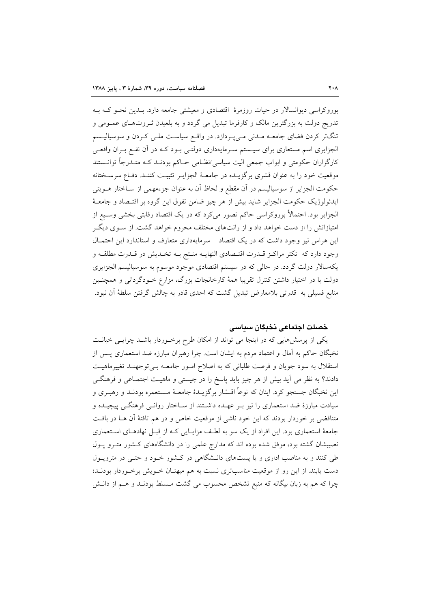بوروکراسی دیوانسالار در حیات روزمرهٔ اقتصادی و معیشتی جامعه دارد. بـدین نحـو کـه بـه تدریج دولت به بزرگترین مالک و کارفرما تبدیل می گردد و به بلعیدن ثـروتهـای عمــومی و تنگتر کردن فضای جامعــه مــدنی مــیپــردازد. در واقــع سیاســت ملــی کــردن و سوسیالیــسم الجزایری اسم مستعاری برای سیستم سـرمایهداری دولتـی بـود کـه در آن نفـع بـران واقعـی کارگزاران حکومتی و ابواب جمعی الیت سیاسی/نظـامی حـاکم بودنـد کـه متـدرجاً توانــستند موقعیت خود را به عنوان قشری برگزیـده در جامعـهٔ الجزایـر تثبیـت کننـد. دفـاع سرسـختانه حكومت الجزاير از سوسياليسم در آن مقطع و لحاظ آن به عنوان جزءمهمي از سـاختار هــويتي ايدئولوژيک حکومت الجزاير شايد بيش از هر چيز ضامن تفوق اين گروه بر اقتـصاد و جامعـهٔ الجزایر بود. احتمالاً بوروکراسی حاکم تصور میکرد که در یک اقتصاد رقابتی بخشی وسـیع از امتیازاتش را از دست خواهد داد و از رانتهای مختلف محروم خواهد گشت. از سـوی دیگـر این هراس نیز وجود داشت که در یک اقتصاد مسرمایهداری متعارف و استاندارد این احتمـال وجود دارد كه تكثر مراكز قـدرت اقتـصادي النهايـه منـتج بـه تخـديش در قـدرت مطلقـه و یکهسالار دولت گردد. در حالی که در سیستم اقتصادی موجود موسوم به سوسیالیسم الجزایری دولت با در اختیار داشتن کنترل تقریبا همهٔ کارخانجات بزرگ، مزارع خـودگردانی و همچنـین منابع فسیلی به قدرتی بلامعارض تبدیل گشت که احدی قادر به چالش گرفتن سلطهٔ آن نبود.

## خصلت اجتماعي نخبكان سياسي

یکی از پرسش،هایی که در اینجا می تواند از امکان طرح برخـوردار باشـلـد چرایـی خیانـت نخبگان حاکم به آمال و اعتماد مردم به ایشان است. چرا رهبران مبارزه ضد استعماری پــس از استقلال به سود جويان و فرصت طلباني كه به اصلاح امـور جامعـه بـي توجهنـد تغييرماهيـت دادند؟ به نظر می اَید بیش از هر چیز باید پاسخ را در چیستی و ماهیـت اجتمــاعی و فرهنگــی اين نخبگان جستجو كرد. اينان كه نوعاً اقــشار برگزيــدهٔ جامعــهٔ مــستعمره بودنــد و رهبــرى و سیادت مبارزهٔ ضد استعماری را نیز بـر عهـده داشــتند از ســاختار روانــی فرهنگــی پیچیــده و متناقضی بر خوردار بودند که این خود ناشی از موقعیت خاص و در هم تافتهٔ آن هـا در بافـت جامعهٔ استعماری بود. این افراد از یک سو به لطف مزایـایی کـه از قبـل نهادهـای اسـتعماری نصیبشان گشته بود، موفق شده بوده اند که مدارج علمی را در دانشگاههای کـشور متــرو پــول طی کنند و به مناصب اداری و یا پستهای دانـشگاهی در کـشور خـود و حتـی در مترویـول دست یابند. از این رو از موقعیت مناسبتری نسبت به هم میهنـان خـویش برخـوردار بودنـد؛ چرا که هم به زبان بیگانه که منبع تشخص محسوب می گشت مـسلط بودنــد و هــم از دانــش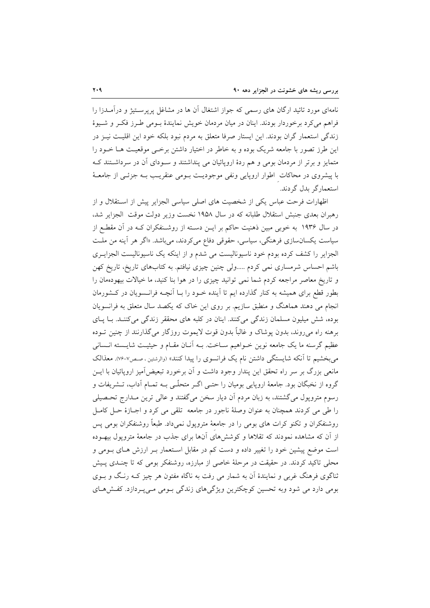نامهای مورد تائید ارگان های رسمی که جواز اشتغال آن ها در مشاغل پرپرسـتیژ و درآمــدزا را فراهم می کرد برخوردار بودند. اینان در میان مردمان خویش نمایندهٔ بـومی طـرز فکـر و شـیوهٔ زندگی استعمار گران بودند. این ایستار صرفا متعلق به مردم نبود بلکه خود این اقلیت نیـز در این طرز تصور با جامعه شریک بوده و به خاطر در اختیار داشتن برخی موقعیت هـا خـود را متمایز و برتر از مردمان بومی و هم ردهٔ اروپائیان می پنداشتند و سـودای آن در سرداشـتند کـه با پیشروی در محاکات اطوار اروپایی ونفی موجودیـت بـومی عنقریـب بـه جزئـی از جامعـهٔ استعمار گر ىدل گردند.

اظهارات فرحت عباس یکی از شخصیت های اصلی سیاسی الجزایر پیش از استقلال و از رهبران بعدی جنبش استقلال طلبانه که در سال ۱۹۵۸ نخست وزیر دولت موقت الجزایر شد، در سال ۱۹۳۶ به خوبی مبین ذهنیت حاکم بر ایــن دسـته از روشــنفکران کــه در آن مقطــع از سیاست یکسانسازی فرهنگی، سیاسی، حقوقی دفاع می کردند، می باشد. «اگر هر آینه من ملت الجزایر را کشف کرده بودم خود ناسیونالیست می شدم و از اینکه یک ناسیونالیست الجزایـری باشم احساس شرمساری نمی کردم .....ولی چنین چیزی نیافتم. به کتابهای تاریخ، تاریخ کهن و تاریخ معاصر مراجعه کردم شما نمی توانید چیزی را در هوا بنا کنید، ما خیالات بیهودهمان را بطور قطع برای همیشه به کنار گذارده ایم تا آینده خـود را بـا آنچـه فرانـسویان در کـشورمان انجام می دهند هماهنگ و منطبق سازیم. بر روی این خاک که یکصد سال متعلق به فرانسویان بوده، شش میلیون مسلمان زندگی میکنند. اینان در کلبه های محققر زندگی میکننـد. بـا پـای برهنه راه می روند، بدون پوشاک و غالباً بدون قوت لایموت روزگار می گذارنند از چنین تـوده عظیم گرسنه ما یک جامعه نوین خـواهیم سـاخت. بـه آنـان مقـام و حیثیـت شایـسته انـسانی می بخشیم تا آنکه شایستگی داشتن نام یک فرانسوی را پیدا کنند» (والرشتین ، صص۷-۷۶). معذالک مانعی بزرگ بر سر راه تحقق این پندار وجود داشت و آن برخورد تبعیضآمیز اروپائیان با ایــن گروه از نخبگان بود. جامعهٔ اروپایی بومیان را حتـی اگـر متحلّـی بـه تمـام آداب، تــشریفات و رسوم متروپول میگشتند، به زبان مردم آن دیار سخن میگفتند و عالی ترین مـدارج تحـصیلی را طي مي كردند همچنان به عنوان وصلهٔ ناجور در جامعه تلقى مي كرد و اجـازهٔ حـل كامـل روشنفکران و تکنو کرات های بومی را در جامعهٔ متروپول نمی،داد. طبعاً روشنفکران بومی پس از آن که مشاهده نمودند که تقلاها و کوشش های آنها برای جذب در جامعهٔ متروپول بیهوده است موضع پیشین خود را تغییر داده و دست کم در مقابل استعمار بـر ارزش هـای بـومی و محلی تاکید کردند. در حقیقت در مرحلهٔ خاصی از مبارزه، روشنفکر بومی که تا چنـدی پـیش ثناگوی فرهنگ غربی و نمایندهٔ آن به شمار می رفت به ناگاه مفتون هر چیز کـه رنـگ و بــوی بومی دارد می شود وبه تحسین کوچکترین ویژگیهای زندگی بـومی مـیپـردازد. کفـش۹حای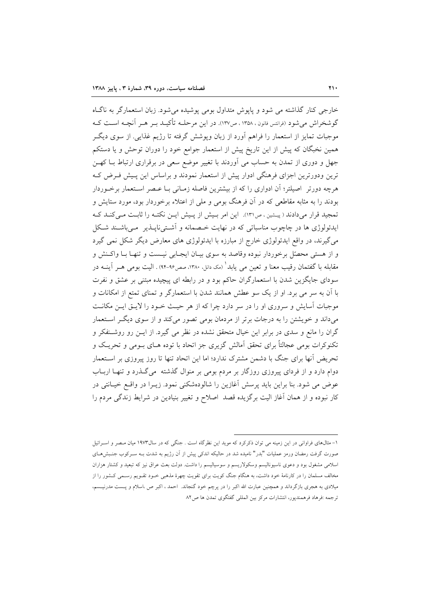خارجي كنار گذاشته مي شود و پايوش متداول بومي پوشيده مي شود. زبان استعمارگر به ناگIه گوشخراش می شود (فرانتس فانون ، ۱۳۵۸ ، ص۱۳۷). در این مرحلـه تأکیــد بــر هــر آنچــه اســت کــه موجبات تمایز از استعمار را فراهم آورد از زبان وپوشش گرفته تا رژیم غذایی. از سوی دیگــر همین نخبگان که پیش از این تاریخ پیش از استعمار جوامع خود را دوران توحش و یا دستکم جهل و دوری از تمدن به حساب می آوردند با تغییر موضع سعی در برقراری ارتباط بـا کهـن ترین ودورترین اجزای فرهنگی ادوار پیش از استعمار نمودند و براساس این پـیش فـرض کـه هرچه دورتر ِ اصیلتر؛ آن ادواری را که از بیشترین فاصله زمـانی بـا عـصر اسـتعمار برخـوردار بودند را به مثابه مقاطعی که در آن فرهنگ بومی و ملی از اعتلاء برخوردار بود، مورد ستایش و تمجید قرار میدادند (پیشین، ص١٣١). این امر بیش از پیش ایـن نکتـه را ثابـت مـیکنـد کـه ایدئولوژی ها در چاچوب مناسباتی که در نهایت خـصمانه و آشـتیiایـذیر مـیباشـند شـکل می گیرند، در واقع ایدئولوژی خارج از مبارزه با ایدئولوژی های معارض دیگر شکل نمی گیرد و از هستی محصّل برخوردار نبوده وقاصد به سوی بیـان ایجـابی نیـست و تنهـا بـا واكـنش و مقابله با گفتمان رقیب معنا و تعین می یابد ْ (مک دانل. ۱۳۸۰، صص۹۶-۹۴) . الیت بومی هــر آینــه در سودای جایگزین شدن با استعمارگران حاکم بود و در رابطه ای پیچیده مبتنی بر عشق و نفرت با آن به سر می برد. او از یک سو عطش همانند شدن با استعمارگر و تمنای تمتع از امکانات و موجبات آسایش و سروری او را در سر دارد چرا که از هر حیث خـود را لایــق ایــن مکانــت میداند و خویشتن را به درجات برتر از مردمان بومی تصور میکند و از سوی دیگر استعمار گران را مانع و سدی در برابر این خیال متحقق نشده در نظر می گیرد. از ایــن رو روشــنفکر و تکنوکرات بومی عجالتاً برای تحقق آمالش گزیری جز اتحاد با توده هـای بـومی و تحریـک و تحریض آنها برای جنگ با دشمن مشترک ندارد؛ اما این اتحاد تنها تا روز پیروزی بر اسـتعمار دوام دارد و از فردای پیروزی روزگار بر مردم بومی بر منوال گذشته می گـذرد و تنهـا اربـاب عوض می شود. بنا براین باید پرسش آغازین را شالودهشکنی نمود. زیـرا در واقــع خیــانتی در کار نبوده و از همان آغاز الیت برگزیده قصد اصلاح و تغییر بنیادین در شرایط زندگی مردم را

۱- مثالهای فراوانی در این زمینه می توان ذکرکرد که موید این نظرگاه است . جنگی که در سال۱۹۷۳ میان مـصر و اسـرائیل صورت گرفت رمضان ورمز عملیات "بدر" نامیده شد در حالیکه اندکی پیش از آن رژیم به شدت بـه سـرکوب جنـبشهـای اسلامی مشغول بود و دعوی ناسیونالیسم وسکولاریسم و سوسیالیسم را داشت. دولت بعث عراق نیز که تبعید و کشتار هزاران مخالف مسلمان را در کارنامهٔ خود داشت، به هنگام جنگ کویت برای تقویت چهرهٔ مذهبی خـود تقـویم رسـمی کـشور را از میلادی به هجری بازگرداند و همچنین عبارت الله اکبر را در پرچم خود گنجاند. احمد ، اکبر ص ،اسلام و پــست مدرنیــسم، ترجمه :فرهاد فرهمندپور، انتشارات مركز بين المللي گفتگوي تمدن ها ص٨٢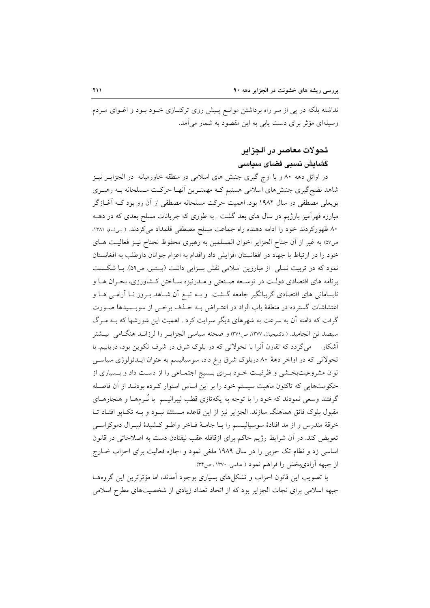نداشته بلکه در پی از سر راه برداشتن موانـع پـیش روی ترکتـازی خــود بــود و اغــوای مــردم وسیلهای مؤثر برای دست پابی به این مقصود به شمار می آمد.

## تحولات معاصر در الجزاير

# گشایش نسبی فضای سیاسی

در اوائل دهه ۸۰ و با اوج گیری جنبش های اسلامی در منطقه خاورمیانه در الجزایـر نیـز شاهد نضج گیری جنبشهای اسلامی هستیم کـه مهمتـرین آنهـا حرکـت مـسلحانه بـه رهبـری بويعلي مصطفى در سال ١٩٨٢ بود. اهميت حركت مسلحانه مصطفى از آن رو بود كـه آغــازگر مبارزه قهرآمیز بارژیم در سال های بعد گشت . به طوری که جریانات مسلح بعدی که در دهــه ۸۰ ظهورکردند خود را ادامه دهنده راه جماعت مسلح مصطفى قلمداد مى کردند. (بهنام، ۱۳۸۱، ص٥٧) به غير از أن جناح الجزاير اخوان المسلمين به رهبري محفوظ نحناح نيـز فعاليـت هـاي خود را در ارتباط با جهاد در افغانستان افزايش داد واقدام به اعزام جوانان داوطلب به افغانستان نمود که در تربیت نسلی از مبارزین اسلامی نقش بسزایی داشت (پیشین، ص۵۹). بــا شکـست برنامه های اقتصادی دولت در توسـعه صـنعتی و مـدرنیزه سـاختن کـشاورزی، بحـران هــا و نابسامانی های اقتصادی گریبانگیر جامعه گــشت و بــه تبــع آن شــاهد بــروز نــا آرامــی هــا و اغتشاشات گسترده در منطقهٔ باب الواد در اعتـراض بــه حــذف برخــی از سوبــسیدها صــورت گرفت که دامنه آن به سرعت به شهرهای دیگر سرایت کرد . اهمیت این شورشها که بــه مــرگ سيصد تن انجاميد. ( دكميجيان، ١٣٧٧، ص٣٧١) و صحنه سياسي الجزايـر را لرزانـد هنگـامي بيــشتر آشکار میگردد که تقارن آنرا با تحولاتی که در بلوک شرق در شرف تکوین بود، دریابیم. با تحولاتی که در اواخر دههٔ ۸۰ دربلوک شرق رخ داد، سوسیالیسم به عنوان ایــدئولوژی سیاســی توان مشروعیتبخشی و ظرفیت خـود بـرای بـسیج اجتمـاعی را از دسـت داد و بـسیاری از حکومتهایی که تاکنون ماهیت سیستم خود را بر این اساس استوار کـرده بودنـد از آن فاصـله گرفتند وسعی نمودند که خود را با توجه به یکهتازی قطب لیبرالیسم ً با نُــرمهــا و هنجارهــای مقبول بلوک فائق هماهنگ سازند. الجزایر نیز از این قاعده مـستثنا نبـود و بـه تکـایو افتـاد تـا خرقهٔ مندرس و از مد افتادهٔ سوسیالیـسم را بـا جامـهٔ فـاخر واطـو کـشیدهٔ لیبـرال دموکراسـی تعویض کند. در اَن شرایط رژیم حاکم برای ازقافله عقب نیفتادن دست به اصلاحاتی در قانون اساسی زد و نظام تک حزبی را در سال ۱۹۸۹ ملغی نمود و اجازه فعالیت برای احزاب خـارج از جبهه آزادیبخش را فراهم نمود ( عباسی، ۱۳۷۰، ص۳۴).

با تصویب این قانون احزاب و تشکل های بسیاری بوجود آمدند، اما مؤثر ترین این گروهها جبهه اسلامی برای نجات الجزایر بود که از اتحاد تعداد زیادی از شخصیتهای مطرح اسلامی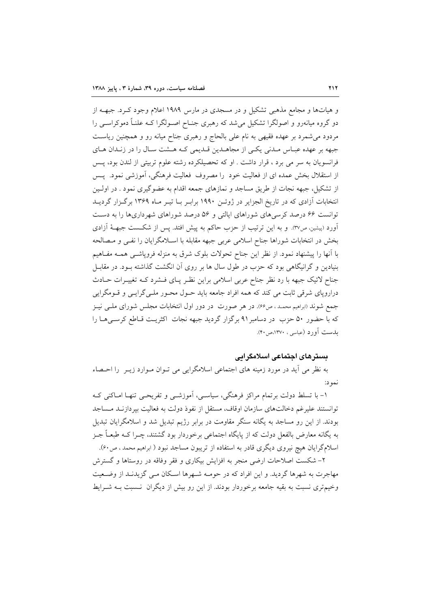و هیاتها و مجامع مذهبی تشکیل و در مسجدی در مارس ۱۹۸۹ اعلام وجود کـرد. جبهــه از دو گروه میانەرو و اصولگرا تشکیل می شد که رهبری جنـاح اصـولگرا کــه علنــاً دموکراســی را مردود میشمرد بر عهده فقیهی به نام علی بالحاج و رهبری جناح میانه رو و همچنین ریاست جبهه بر عهده عبـاس مـدني يكـي از مجاهـدين قـديمي كـه هـشت سـال را در زنـدان هـاي فرانسويان به سر مي برد ، قرار داشت . او كه تحصيلكرده رشته علوم تربيتي از لندن بود، پـس از استقلال بخش عمده ای از فعالیت خود را مصروف فعالیت فرهنگی، آموزشی نمود. پس از تشکیل، جبهه نجات از طریق مساجد و نمازهای جمعه اقدام به عضوگیری نمود . در اولـین انتخابات آزادی که در تاریخ الجزایر در ژوئـن ۱۹۹۰ برابـر بـا تیــر مـاه ۱۳۶۹ برگـزار گردیــد توانست ۶۶ درصد کرسیهای شوراهای ایالتی و ۵۶ درصد شوراهای شهرداریها را به دست آورد (پیشین، ص٣٧). و به این ترتیب از حزب حاکم به پیش افتد. پس از شکست جبهــهٔ آزادی بخش در انتخابات شوراها جناح اسلامی عربی جبهه مقابله با اسـلامگرایان را نفـی و مـصالحه با أنها را پیشنهاد نمود. از نظر این جناح تحولات بلوک شرق به منزله فروپاشــی همــه مفــاهیم بنیادین و گرانیگاهی بود که حزب در طول سال ها بر روی آن انگشت گذاشته بـود. در مقابـل جناح لائیک جبهه با رد نظر جناح عربی اسلامی براین نظـر پـای فـشرد کـه تغییـرات حـادث دراروپای شرقی ثابت می کند که همه افراد جامعه باید حـول محـور ملـی گرایـی و قـومگرایی جمع شوند (ابراهیم محمد، ص۶۶). در هر صورت در دور اول انتخابات مجلس شورای ملـی نیـز كه با حضور ۵۰ حزب در دسامبر۹۱ برگزار گردید جبهه نجات اكثريت قـاطع كرسـىهـا را بلەست آورد (عباسی، ۱۳۷۰،ص۴۰).

## بسترهای اجتماعی اسلامگرایی

به نظر می آید در مورد زمینه های اجتماعی اسلامگرایی می تـوان مـوارد زیـر ً را احـصاء نمو د:

۱– با تسلط دولت برتمام مراکز فرهنگی، سیاسـی، آموزشـی و تفریحـی تنهـا امـاکنی کـه توانستند علیرغم دخالتهای سازمان اوقاف، مستقل از نفوذ دولت به فعالیت بیردازنـد مـساجد بودند. از این رو مساجد به یگانه سنگر مقاومت در برابر رژیم تبدیل شد و اسلامگرایان تبدیل به یگانه معارض بالفعل دولت که از پایگاه اجتماعی برخوردار بود گشتند، چـرا کـه طبعـاً جـز اسلامگرایان هیچ نیروی دیگری قادر به استفاده از تریبون مساجد نبود ( ابراهیم محمد ، ص۶۰).

۲- شکست اصلاحات ارضی منجر به افزایش بیکاری و فقر وفاقه در روستاها و گسترش مهاجرت به شهرها گردید. و این افراد که در حومـه شـهرها اسـکان مـی گزیدنـد از وضـعیت وخیمتری نسبت به بقیه جامعه برخوردار بودند. از این رو بیش از دیگران نسبت بـه شـرایط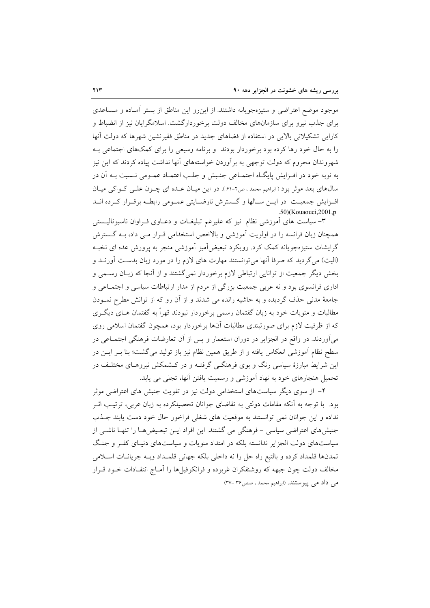موجود موضع اعتراضي و ستيزهجويانه داشتند. از اين٫رو اين مناطق از بستر أمـاده و مـساعدي برای جذب نیرو برای سازمانهای مخالف دولت برخوردارگشت. اسلامگرایان نیز از انضباط و کارایی تشکیلاتی بالایی در استفاده از فضاهای جدید در مناطق فقیرنشین شهرها که دولت آنها را به حال خود رها کرده بود برخوردار بودند و برنامه وسیعی را برای کمکهای اجتماعی بـه شهروندان محروم که دولت توجهی به برآوردن خواستههای آنها نداشت پیاده کردند که این نیز به نوبه خود در افـزايش پايگــاه اجتمــاعي جنــبش و جلــب اعتمــاد عمــومي نــسبت بــه اَن در سال@ای بعد موثر بود ( ابراهیم محمد ، ص۲-۶۱ ). در این میـان عـده ای چـون علـی کـواکی میـان افـزايش جمعيــت در ايــن ســالها و گــسترش نارضــايتي عمــومي رابطــه برقــرار كــرده انــد  $.50$ )(Kouaouci, 2001, p

۳– سیاست های اَموزشی نظام نیز که علیرغم تبلیغـات و دعــاوی فــراوان ناسیونالیــستی همچنان زبان فرانسه را در اولویت آموزشی و بالاخص استخدامی قـرار مـی داد، بــه گــسترش گرایشات ستیزهجویانه کمک کرد. رویکرد تبعیضآمیز آموزشی منجر به پرورش عده ای نخبـه (الیت) میگردید که صرفا آنها میتوانستند مهارت های لازم را در مورد زبان بدست آورنـد و بخش دیگر جمعیت از توانایی ارتباطی لازم برخوردار نمی گشتند و از آنجا که زبـان رسـمی و اداری فرانسوی بود و نه عربی جمعیت بزرگی از مردم از مدار ارتباطات سیاسی و اجتمـاعی و جامعهٔ مدنی حذف گردیده و به حاشیه رانده می شدند و از آن رو که از توانش مطرح نمـودن مطالبات و منویات خود به زبان گفتمان رسمی برخوردار نبودند قهراً به گفتمان هـای دیگـری که از ظرفیت لازم برای صورتبندی مطالبات آنها برخوردار بود، همچون گفتمان اسلامی روی میآوردند. در واقع در الجزایر در دوران استعمار و پس از آن تعارضات فرهنگی اجتمــاعی در سطح نظام آموزشی انعکاس یافته و از طریق همین نظام نیز باز تولید می گشت؛ بنا بــر ایــن در این شرایط مبارزهٔ سیاسی رنگ و بوی فرهنگــی گرفتــه و در کــشمکش نیروهــای مختلــف در تحمیل هنجارهای خود به نهاد آموزشی و رسمیت یافتن آنها، تجلی می یابد.

۴– از سوی دیگر سیاستهای استخدامی دولت نیز در تقویت جنبش های اعتراضی موثر بود. با توجه به آنکه مقامات دولتی به تقاضای جوانان تحصیلکرده به زبان عربی، ترتیب اثـر نداده و این جوانان نمی توانستند به موقعیت های شغلی فراخور حال خود دست پابند جـذب جنبش های اعتراضی سیاسی – فرهنگی می گشتند. این افراد ایــن تبعـیض هــا را تنهـا ناشــی از سیاستهای دولت الجزایر ندانسته بلکه در امتداد منویات و سیاستهای دنیـای کفـر و جنـگ تمدنها قلمداد كرده و بالتبع راه حل را نه داخلي بلكه جهاني قلمـداد وبـه جريانـات اسـلامي مخالف دولت چون جبهه که روشنفکران غربزده و فرانکوفیلها را آمـاج انتقـادات خــود قــرار می داد می پیوستند. (ابراهیم محمد ، صص۳۶-۳۷)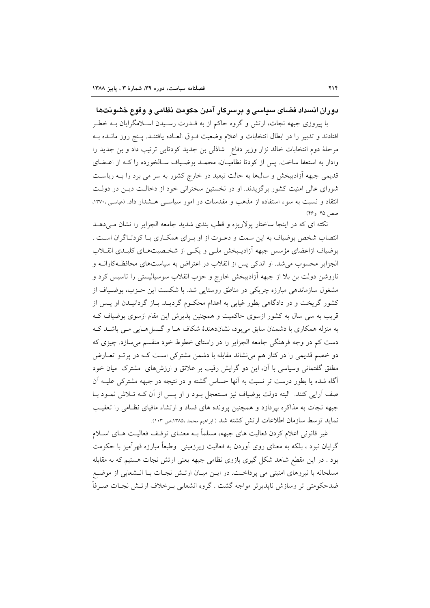## دوران انسداد فضای سیاسی و پرسرکار آمدن حکومت نظامی و وقوع خشونتها

با پیروزی جبهه نجات، ارتش و گروه حاکم از به قــدرت رســیدن اســلامگرایان بــه خطــر افتادند و تدبیر را در ابطال انتخابات و اعلام وضعیت فــوق العــاده یافتنــد. پــنج روز مانــده بــه مرحلهٔ دوم انتخابات خالد نزار وزیر دفاع ً شاذلی بن جدید کودتایی ترتیب داد و بن جدید را وادار به استعفا ساخت. پس از کودتا نظامیـان، محمـد بوضـیاف سـالخورده را کــه از اعــضای قدیمی جبهه آزادیبخش و سالها به حالت تبعید در خارج کشور به سر می برد را بـه ریاسـت شورای عالی امنیت کشور برگزیدند. او در نخستین سخنرانی خود از دخالت دیـن در دولـت انتقاد و نسبت به سوء استفاده از مذهب و مقدسات در امور سیاستی هـشدار داد. (عباسی ۱۳۷۰، صص ۴۵ و۴۶)

نکته ای که در اینجا ساختار پولاریزه و قطب بندی شدید جامعه الجزایر را نشان مـی۵هــد انتصاب شخص بوضیاف به این سمت و دعـوت از او بـرای همکـاری بـا کودتـاگران اسـت . بوضیاف ازاعضای مؤسس جبهه آزادیـبخش ملـی و یکـی از شخـصیتهـای کلیـدی انقــلاب الجزایر محسوب می شد. او اندکی پس از انقلاب در اعتراض به سیاستهای محافظهکارانـه و ناروشن دولت بن بلا از جبهه آزادیبخش خارج و حزب انقلاب سوسیالیستی را تاسیس کرد و مشغول سازماندهی مبارزه چریکی در مناطق روستایی شد. با شکست این حـزب، بوضـیاف از کشور گریخت و در دادگاهی بطور غیابی به اعدام محکـوم گردیــد. بـاز گردانیــدن او پــس از قریب به سی سال به کشور ازسوی حاکمیت و همچنین پذیرش این مقام ازسوی بوضیاف ک به منزله همکاری با دشمنان سابق می بود، نشاندهندهٔ شکاف هـا و گـسل هـایی مـی باشـد کـه دست کم در وجه فرهنگی جامعه الجزایر را در راستای خطوط خود منقسم میسازد. چیزی که دو خصم قدیمی را در کنار هم می نشاند مقابله با دشمن مشترکی است کـه در پرتـو تعـارض مطلق گفتمانی وسیاسی با آن، این دو گرایش رقیب بر علائق و ارزشهای مشترک میان خود آگاه شده یا بطور درست تر نسبت به آنها حساس گشته و در نتیجه در جبهه مشترکی علیـه آن صف آرایی کنند. البته دولت بوضیاف نیز مستعجل بـود و او پـس از آن کـه تـلاش نمـود بـا جبهه نجات به مذاکره بیردازد و همچنین پرونده های فساد و ارتشاء مافیای نظـامی را تعقیب نمايد توسط سازمان اطلاعات ارتش كشته شد ( ابراهيم محمد ،١٣٨٥،ص ١٠٣).

غیر قانونی اعلام کردن فعالیت های جبهه، مسلماً بـه معنــای توقــف فعالیــت هــای اســلام گرایان نبود ، بلکه به معنای روی آوردن به فعالیت زیرزمینی ۖ وطبعاً مبارزه قهرآمیز با حکومت بود . در این مقطع شاهد شکل گیری بازوی نظامی جبهه یعنی ارتش نجات هستیم که به مقابله مسلحانه با نیروهای امنیتی می پرداخت. در ایـن میـان ارتـش نجـات بـا انـشعابی از موضـع ضدحکومتی تر وسازش ناپذیرتر مواجه گشت . گروه انشعابی بـرخلاف ارتـش نجـات صـرفاً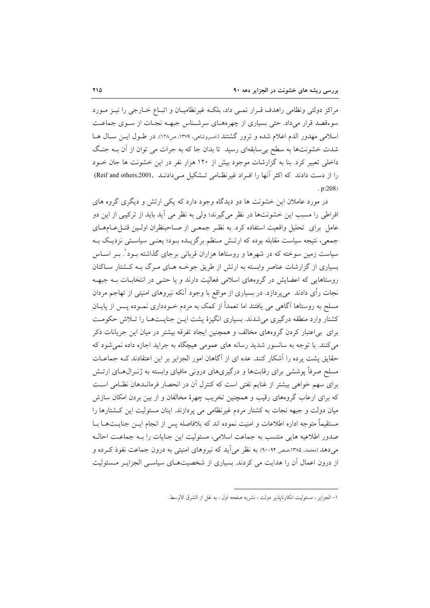مراکز دولتی ونظامی راهدف قـرار نمـی داد، بلکـه غیرنظامیـان و اتبـاع خــارجی را نیــز مــورد سوءقصد قرار میداد. حتی بسیاری از چهرههـای سرشـناس جبهـه نجـات از سـوی جماعـت اسلامی مهدور الدم اعلام شده و ترور گشتند (خسروشاهی، ۱۳۷۹، ص۱۲۸). در طـول ایـن سـال هـا شدت خشونتها به سطح بی سابقهای رسید تا بدان جا که به جرات می توان از آن بـه جنگ داخلی تعبیر کرد. بنا به گزارشات موجود بیش از ۱۲۰ هزار نفر در این خشونت ها جان خــود را از دست دادند که اکثر آنها را افـراد غیرنظـامی تـشکیل مـیدادنـد (Reif and others,2001)  $. p:208)$ 

در مورد عاملان این خشونت ها دو دیدگاه وجود دارد که یکی ارتش و دیگری گروه های افراطی را مسبب این خشونتها در نظر میگیرند؛ ولی به نظر می آید باید از ترکیبی از این دو عامل برای تحلیل واقعیت استفاده کرد. به نظـر جمعـی از صـاحبنظران اولـین قتـلءـامهـای جمعی، نتیجه سیاست مقابله بوده که ارتـش مـنظم برگزیـده بـود؛ یعنـی سیاسـتی نزدیـک بـه سیاست زمین سوخته که در شهرها و روستاها هزاران قربانی برجای گذاشته بــود ْ. بــر اســاس بسیاری از گزارشات عناصر وابسته به ارتش از طریق جوخـه هـای مـرگ بـه کـشتار سـاکنان روستاهایی که اعضایش در گروههای اسلامی فعالیت دارند و یا حتـبی در انتخابـات بـه جبهـه نجات رأی دادند ً میپردازد. در بسیاری از مواقع با وجود آنکه نیروهای امنیتی از تهاجم مردان مسلح به روستاها آگاهی می یافتند اما تعمداً از کمک به مردم خـودداری نمـوده پـس از پایــان کشتار وارد منطقه درگیری می شدند. بسیاری انگیزهٔ پشت ایـن جنایـتهـا را تـلاش حکومـت برای بی|عتبار کردن گروههای مخالف و همچنین ایجاد تفرقه بیشتر در میان این جریانات ذکر می کنند. با توجه به سانسور شدید رسانه های عمومی هیچگاه به جراید اجازه داده نمی شود که حقایق پشت پرده را اَشکار کنند. عده ای از اَگاهان امور الجزایر بر این اعتقادند کـه جماعــات مسلح صرفاً پوششی برای رقابتها و درگیریهای درونی مافیای وابسته به ژنـرال۱عـای ارتـش برای سهم خواهی بیشتر از غنایم نفتی است که کنترل آن در انحصار فرمانـدهان نظـامی اسـت که برای ارعاب گروههای رقیب و همچنین تخریب چهرهٔ مخالفان و از بین بردن امکان سازش میان دولت و جبهه نجات به کشتار مردم غیرنظامی می پردازند. اینان مسئولیت این کشتارها را مستقيماً متوجه اداره اطلاعات و امنيت نموده اند كه بلافاصله يس از انجام ايــن جنايــتهــا بــا صدور اطلاعيه هايي منتسب به جماعت اسلامي، مسئوليت اين جنايات را بـه جماعـت احالـه می دهد (محمد، ۱۳۸۵،صص ۹۲-۹۰). به نظر می آید که نیروهای امنیتی به درون جماعت نفوذ کـرده و از درون اعمال آن را هدایت می کردند. بسیاری از شخصیتهـای سیاسـی الجزایـر مـسئولیت

١- الجزاير ، مسئوليت انكارناپذير دولت ، نشريه صفحه اول ، به نقل از الشرق الاوسط.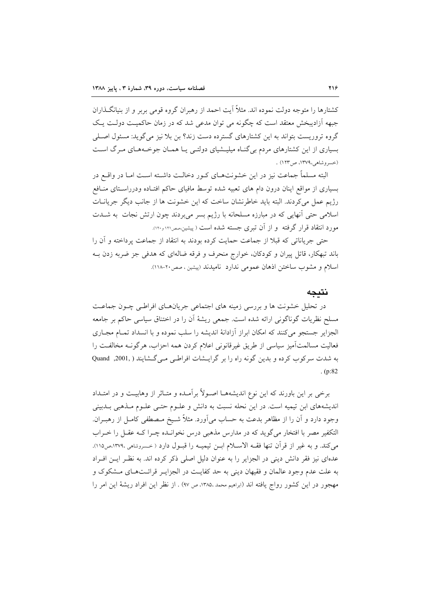کشتارها را متوجه دولت نموده اند. مثلاً آیت احمد از رهبران گروه قومی بربر و از بنیانگـذاران جبهه اَزادیبخش معتقد است که چگونه می توان مدعی شد که در زمان حاکمیت دولت یک گروه تروریست بتواند به این کشتارهای گسترده دست زند؟ بن بلا نیز می گوید: مسئول اصـلی بسیاری از این کشتارهای مردم بی گنـاه میلیـشیای دولتـی یـا همـان جوخـههـای مـرگ اسـت (خسروشاهي،١٣٧٩، ص١٢٣) .

البته مسلماً جماعت نیز در این خشونتهـای کـور دخالـت داشـته اسـت امـا در واقــع در بسیاری از مواقع اینان درون دام های تعبیه شده توسط مافیای حاکم افتـاده ودرراسـتای منـافع رژیم عمل میکردند. البته باید خاطرنشان ساخت که این خشونت ها از جانب دیگر جریانیات اسلامی حتی آنهایی که در مبارزه مسلحانه با رژیم بسر میبردند چون ارتش نجات به شــدت مورد انتقاد قرار گرفته و از آن تبری جسته شده است ( پیشین،صر۱۲۱ و۱۲۰).

حتى جرياناتي كه قبلاً از جماعت حمايت كرده بودند به انتقاد از جماعت يرداخته و آن را باند تبهکار، قاتل پیران و کودکان، خوارج منحرف و فرقه ضالهای که هدفی جز ضربه زدن بـه اسلام و مشوب ساختن اذهان عمومی ندارد نامیدند (پیشین ، صص۲۰-۱۱۸).

## نتىجە

در تحلیل خشونت ها و بررسی زمینه های اجتماعی جریانهـای افراطـی چــون جماعـت مسلح نظریات گوناگونی ارائه شده است. جمعی ریشهٔ آن را در اختناق سیاسی حاکم بر جامعه الجزایر جستجو میکنند که امکان ابراز آزادانهٔ اندیشه را سلب نموده و با انسداد تمـام مجـاری فعاليت مسالمتآميز سياسي از طريق غيرقانوني اعلام كردن همه احزاب، هرگونـه مخالفـت را به شدت سرکوب کرده و بدین گونه راه را بر گرایـشات افراطـی مـی گـشایند ( ,2001, Quand  $(p:82)$ 

برخی بر این باورند که این نوع اندیشههـا اصـولاً برآمـده و متـاثر از وهابیـت و در امتـداد اندیشههای ابن تیمیه است. در این نحله نسبت به دانش و علـوم حتـی علـوم مـذهبی بـدبینی وجود دارد و آن را از مظاهر بدعت به حساب می آورد. مثلاً شـیخ مـصطفی کامـل از رهبـران. التكفير مصر با افتخار مي گويد كه در مدارس مذهبي درس نخوانـده چـرا كـه عقـل را خـراب می کند. و به غیر از قرآن تنها فقـه الاسـلام ابـن تیمیـه را قبـول دارد ( خـسروشامی ،١٣٧٩،ص١١٥). عدهای نیز فقر دانش دینی در الجزایر را به عنوان دلیل اصلی ذکر کرده اند. به نظـر ایـن افـراد به علت عدم وجود عالمان و فقیهان دینی به حد کفایت در الجزایـر قرائـتهـای مــشکوک و مهجور در این کشور رواج یافته اند (ابراهیم محمد ،۱۳۸۵، ص ۹۷) . از نظر این افراد ریشهٔ این امر را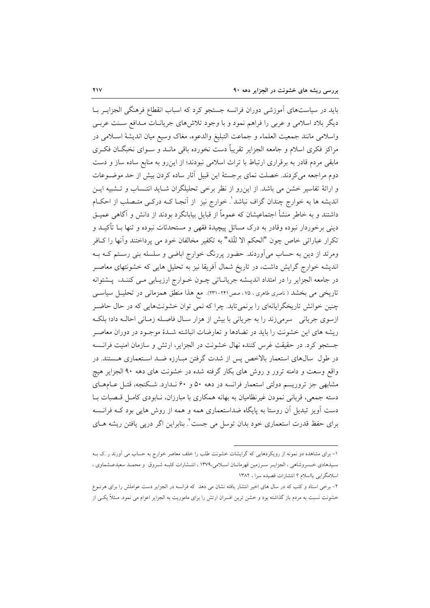باید در سیاستهای آموزشی دوران فرانسه جستجو کرد که اسباب انقطاع فرهنگی الجزایـر بــا دیگر بلاد اسلامی و عربی را فراهم نمود و با وجود تلاش های جریانـات مـدافع سـنت عربـی واسلامي مانند جمعيت العلماء و جماعت التبليغ والدعوه، مغاك وسيع ميان انديشة اسللامي در مراکز فکری اسلام و جامعه الجزایر تقریباً دست نخورده باقی مانــد و ســوای نخبگــان فکــری مابقی مردم قادر به برقراری ارتباط با تراث اسلامی نبودند؛ از این رو به منابع ساده ساز و دست دوم مراجعه می کردند. خصلت نمای برجستهٔ این قبیل آثار ساده کردن بیش از حد موضـوعات و ارائهٔ تفاسیر خشن می باشد. از این رو از نظر برخی تحلیلگران شـاید انتـساب و تـشبیه ایـن اندیشه ها به خوارج چندان گزاف نباشد'. خوارج نیز از اَنجـا کـه درکـی متـصلب از احکـام داشتند و به خاطر منشأ اجتماعیشان که عموماً از قبایل بیابانگرد بودند از دانش و آگاهی عمیـق دینی برخوردار نبوده وقادر به درک مسائل پیچیدهٔ فقهی و مستحدثات نبوده و تنها بــا تأکیــد و تكرار عباراتي خاص چون "الحكم الا للَّله" به تكفير مخالفان خود مي يرداختند وأنها را كــافر ومرتد از دین به حساب می[وردند. حضور پررنگ خوارج اباضی و سلسله بنی رسـتم کــه بــه اندیشه خوارج گرایش داشت، در تاریخ شمال آفریقا نیز به تحلیل هایی که خشونتهای معاصـر در جامعه الجزاير را در امتداد انديـشه جريانـاتي چـون خـوارج ارزيـابي مـي كننـد، پـشتوانه تاریخی می بخشد ( ناصری طاهری ، ۷۵ ، صص۲۴۱–۲۳۱). مع هذا منطق همزمانی در تحلیــل سیاســی چنین خوانش تاریخگرایانهای را برنمیتابد. چرا که نمی توان خشونتهایی که در حال حاضر ازسوی جریانی سرمیزند را به جریانی با بیش از هزار سال فاصله زمـانی احالـه داد؛ بلکـه ریشه های این خشونت را باید در تضادها و تعارضات انباشته شـدهٔ موجـود در دوران معاصـر جستجو كرد. در حقيقت غرس كننده نهال خشونت در الجزاير، ارتش و سازمان امنيت فرانسه در طول ً سالهای استعمار بالاخص پس از شدت گرفتن مبـارزه ضـد اسـتعماری هـستند. در واقع وسعت و دامنه ترور و روش های بکار گرفته شده در خشونت های دهه ۹۰ الجزایر هیچ مشابهی جز تروریسم دولتی استعمار فرانسه در دهه ۵۰ و ۶۰ نـدارد. شكنجه، قتـل عـامهـای دسته جمعی، قربانی نمودن غیرنظامیان به بهانه همکاری با مبارزان، نـابودی کامـل قـصبات بـا دست آویز تبدیل آن روستا به پایگاه ضداستعماری همه و همه از روش هایی بود کـه فرانـسه برای حفظ قدرت استعماری خود بدان توسل می جست<sup>۲</sup>. بنابراین اگر درپی یافتن ریشه هــای

۱- برای مشاهده دو نمونه از رویکردهایی که گرایشات خشونت طلب را خلف معاصر خوارج به حساب می آورند ر .ک بــه سیدهادی خسروشاهی ، الجزایـر سـرزمین قهرمانـان اسـلامی،۱۳۷۹ ، انتـشارات کلبـه شـروق و محمـد سعیدعـشماوی ، اسلامگرایی یااسلام ؟ انتشارات قصیده سرا ، ۱۳۸۲

۲- برخی اسناد و کتب که در سال های اخیر انتشار یافته نشان می دهد که فرانسه در الجزایر دست عواملش را برای هرنــوع خشونت نسبت به مردم باز گذاشته بود و خشن ترین افسران ارتش را برای ماموریت به الجزایر اعزام می نمود. مـثلاً یکـی از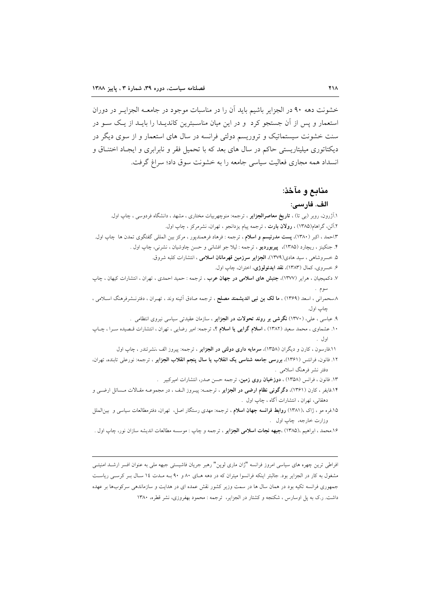خشونت دهه ۹۰ در الجزایر باشیم باید آن را در مناسبات موجود در جامعــه الجزایــر در دوران استعمار و پس از آن جستجو کرد و در این میان مناسبترین کاندیـدا را بایـد از یـک سـو در سنت خشونت سیستماتیک و تروریسم دولتی فرانسه در سال های استعمار و از سوی دیگر در دیکتاتوری میلیتاریستی حاکم در سال های بعد که با تحمیل فقر و نابرابری و ایجـاد اختنـاق و انسداد همه مجاري فعاليت سياسي جامعه را به خشونت سوق داد؛ سراغ گرفت.

# منابع و مآخذ:

## الف. فارسى:

| ۱.اَژرون، روبر (بی تا) ، <b>تاریخ معاصرالجزایر</b> ، ترجمه: منوچهربیات مختاری ، مشهد ، دانشگاه فردوسی ، چاپ اول <sub>.</sub>     |
|----------------------------------------------------------------------------------------------------------------------------------|
| ۲.آلن، گراهام(۱۳۸۵) ، <b>رولان بارت</b> ، ترجمه پیام یزدانجو ، تهران، نشرمرکز ، چاپ اول <sub>·</sub>                             |
| ۱.۳احمد ، اکبر (۱۳۸۰)، <b>پست مدرنیسم و اسلام</b> ، ترجمه : فرهاد فرهمندپور ، مرکز بین المللی گفتگوی تمدن ها  چاپ اول.           |
| ۴. جنکینز ، ریچارد (۱۳۸۵)، <b>پیربوردیو</b> ، ترجمه : لیلا جو افشان <sub>ی</sub> و حسن چاوشیان ، نشرنی، چاپ اول .                |
| ۵. خسروشاهی ، سید هادی(۱۳۷۹)، <b>الجزایر سرزمین قهرمانان اسلامی</b> ، انتشارات کلبه شروق.                                        |
| ۶. خسروی، کمال (۱۳۸۳)، <b>نقد ایدئولوژی</b> ، اختران، چاپ اول.                                                                   |
| ۷. دکمیجیان ، هرایر (۱۳۷۷)، <b>جنبش های اسلامی در جهان عرب</b> ، ترجمه : حمید احمدی ، تهران ، انتشارات کیهان ، چاپ               |
|                                                                                                                                  |
| ۸سحمرانی ، اسعد (۱۳۶۹) ، <b>ما لک بن نبی اندیشمند مصلح</b> ، ترجمه صادق آئینه وند ، تهـران ، دفترنــشرفرهنگ اســلامی ،           |
| چاپ اول.                                                                                                                         |
| ۹. عباسی ، علی، (۱۳۷۰) <b>نگرشی بر روند تحولات در الجزایر</b> ، سازمان عقیدتی سیاسی نیروی انتظامی  .                             |
| ۱۰. عشماوی ، محمد سعید (۱۳۸۲) ، <b>اسلام گرایی یا اسلام</b> ؟، ترجمه: امیر رضایی ، تهران ، انتشارات قـصیده سـرا ، چـاپ           |
|                                                                                                                                  |
| ۱۱.فارسون ، کارن و دیگران (۱۳۵۸)، <b>سرمایه داری دولتی در الجزایر</b> ، ترجمه: پیروز الف ،نشرتندر ، چاپ اول                      |
| ۱۲. فانون، فرانتس (۱۳۶۱)، <b>بررسی جامعه شناسی یک انقلاب یا سال پنجم انقلاب الجزایر</b> ، ترجمه: نورعلی تابنده، تهران،           |
| دفتر نشر فرهنگ اسلامی .                                                                                                          |
| ۱۳. فانون ، فرانس (۱۳۵۸) ، <b>دوزخیان روی زمین</b> ، ترجمه حسن صدر، انتشارات امیرکبیر                                            |
| ۱۴.فایفر ، کارن (۱۳۶۱)، <b>دگرگونی نظام ارضی در الجزایر</b> ، ترجمـه: پیـروز الـف ، در مجموعـه مقـالات مـسائل ارضــی و           |
| دهقانی، تهران ، انتشارات آگاه ، چاپ اول  .                                                                                       |
| ۱۵.فره مو ، ژاک ،(۱۳۸۱) <b>روابط فرانسه جهان اسلام</b> ، ترجمه: مهدی رستگار اصل،  تهران، دفترمطالعات سیاسی و  بینالملل           |
| وزارت خارجه، چاپ اول  .                                                                                                          |
| ۱۶.محمد ، ابراهیم ،(۱۳۸۵) ، <b>جبهه نجات اسلامی الجزایر</b> ، ترجمه و چاپ : موسسه مطالعات اندیشه سازان نور، چاپ اول <sub>·</sub> |
|                                                                                                                                  |

افراطی ترین چهره های سیاسی امروز فرانسه "ژان ماری لوپن" رهبر جریان فاشیستی جبهه ملی به عنوان افسر ارشـد امنیتـی مشغول به کار در الجزایر بود. جالبتر اینکه فرانسوا میتران که در دهه هـای ۸۰ و ۹۰ بـه مـدت ۱۶ سـال بـر کرسـی ریاسـت جمهوری فرانسه تکیه بود در همان سال ها در سمت وزیر کشور نقش عمده ای در هدایت و سازماندهی سرکوبها بر عهده داشت. ر.ک به پل اوسارس ، شکنجه و کشتار در الجزایر، ترجمه : محمود بهفروزی، نشر قطره، ۱۳۸۰